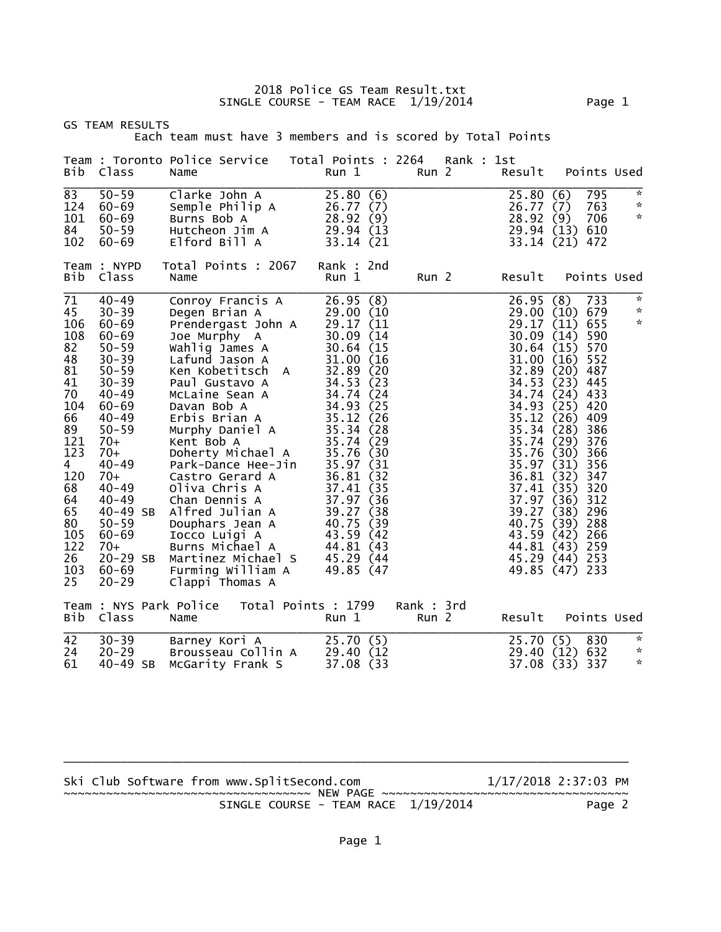2018 Police GS Team Result.txt SINGLE COURSE - TEAM RACE 1/19/2014 Page 1

|                                                                                                                                                                         | <b>GS TEAM RESULTS</b>                                                                                                                                                                                                                                                                                    | Each team must have 3 members and is scored by Total Points                                                                                                                                                                                                                                                                                                                                                                                                                                                                                        |                                                                                                                                                                                                                |                                                                      |                                |            |                                                                                                                                                                                                                                                                                                                  |                                                                  |                                                                                                                            |                                          |
|-------------------------------------------------------------------------------------------------------------------------------------------------------------------------|-----------------------------------------------------------------------------------------------------------------------------------------------------------------------------------------------------------------------------------------------------------------------------------------------------------|----------------------------------------------------------------------------------------------------------------------------------------------------------------------------------------------------------------------------------------------------------------------------------------------------------------------------------------------------------------------------------------------------------------------------------------------------------------------------------------------------------------------------------------------------|----------------------------------------------------------------------------------------------------------------------------------------------------------------------------------------------------------------|----------------------------------------------------------------------|--------------------------------|------------|------------------------------------------------------------------------------------------------------------------------------------------------------------------------------------------------------------------------------------------------------------------------------------------------------------------|------------------------------------------------------------------|----------------------------------------------------------------------------------------------------------------------------|------------------------------------------|
| Bib                                                                                                                                                                     | Class                                                                                                                                                                                                                                                                                                     | Team : Toronto Police Service<br>Name                                                                                                                                                                                                                                                                                                                                                                                                                                                                                                              | Total Points : 2264<br>Run 1                                                                                                                                                                                   |                                                                      | Run 2                          | Rank : 1st | Result                                                                                                                                                                                                                                                                                                           |                                                                  |                                                                                                                            | Points Used                              |
| 83<br>124<br>101<br>84<br>102                                                                                                                                           | $50 - 59$<br>60-69<br>$60 - 69$<br>$50 - 59$<br>$60 - 69$<br>Team : NYPD                                                                                                                                                                                                                                  | Clarke John A<br>Semple Philip A<br>Burns Bob A<br>Hutcheon Jim A<br>Elford Bill A<br>Total Points : 2067                                                                                                                                                                                                                                                                                                                                                                                                                                          | 25.80(6)<br>26.77(7)<br>28.92<br>29.94 (13<br>33.14 (21<br>Rank : 2nd                                                                                                                                          | (9)                                                                  |                                |            | 25.80(6)<br>26.77(7)<br>28.92<br>29.94 (13)<br>33.14 (21) 472                                                                                                                                                                                                                                                    | (9)                                                              | 795<br>763<br>706<br>610                                                                                                   | $\sim$<br>$\mathcal{R}$<br>$\mathcal{R}$ |
| Bib                                                                                                                                                                     | Class                                                                                                                                                                                                                                                                                                     | Name                                                                                                                                                                                                                                                                                                                                                                                                                                                                                                                                               | Run 1                                                                                                                                                                                                          |                                                                      | Run 2                          |            | Result                                                                                                                                                                                                                                                                                                           |                                                                  |                                                                                                                            | Points Used                              |
| 71<br>45<br>106<br>108<br>82<br>48<br>81<br>41<br>70<br>104<br>66<br>89<br>121<br>123<br>$\overline{4}$<br>120<br>68<br>64<br>65<br>80<br>105<br>122<br>26<br>103<br>25 | $40 - 49$<br>$30 - 39$<br>$60 - 69$<br>$60 - 69$<br>$50 - 59$<br>$30 - 39$<br>$50 - 59$<br>$30 - 39$<br>$40 - 49$<br>$60 - 69$<br>$40 - 49$<br>$50 - 59$<br>70+<br>70+<br>$40 - 49$<br>70+<br>$40 - 49$<br>$40 - 49$<br>40-49 SB<br>$50 - 59$<br>$60 - 69$<br>$70+$<br>20-29 SB<br>$60 - 69$<br>$20 - 29$ | Conroy Francis A<br>Degen Brian A<br>Prendergast John A<br>Joe Murphy A<br>Joe Murphy<br>Wahlig James A<br>Lafund Jason A<br>Ken Kobetitsch A<br>Paul Gustavo A<br>McLaine Sean A<br>Davan Bob A<br>Erbis Brian A<br>Murphy Daniel A<br>Kent Bob A<br>Doherty Michael A<br>Park-Dance Hee-Jin<br>Castro Gerard A<br>Oliva Chris A<br>Oliva Chris A<br>Chan Dennis A<br>Alfred Julian A<br>37.97 (36<br>Douphars Jean A<br>40.75 (39<br>Tocco Luigi A<br>43.59 (42<br>Burns Micȟael A<br>Martinez Michael S<br>Furming William A<br>Clappi Thomas A | 26.95(8)<br>29.00 (10<br>29.17 (11<br>30.09<br>30.64(15)<br>31.00<br>32.89<br>34.53<br>34.74<br>34.93<br>35.12<br>35.34<br>35.74 (29<br>35.76 (30<br>35.97 (31<br>36.81<br>44.81 (43<br>45.29 (44<br>49.85 (47 | (14)<br>(16)<br>(20)<br>(23)<br>(24)<br>(25)<br>(26)<br>(28)<br>(32) |                                |            | 26.95(8)<br>29.00(10)<br>29.17 (11)<br>30.09<br>30.64(15)<br>31.00(16)<br>32.89(20)<br>34.53(23)<br>34.74<br>34.93<br>35.12<br>35.34<br>35.74(29)<br>35.76<br>35.97 (31)<br>36.81 (32)<br>37.41 (35)<br>37.97(36)<br>39.27 (38)<br>40.75<br>43.59 (42) 266<br>44.81 (43) 259<br>45.29 (44) 253<br>49.85 (47) 233 | (14)<br>$(24)$ 433<br>$(25)$ 420<br>(26)<br>(28)<br>(30)<br>(39) | 733<br>679<br>655<br>590<br>570<br>552<br>487<br>445<br>409<br>386<br>376<br>366<br>356<br>347<br>320<br>312<br>296<br>288 | $\mathcal{R}$<br>$\sim$<br>$\mathcal{R}$ |
| Bib                                                                                                                                                                     | Class                                                                                                                                                                                                                                                                                                     | Team : NYS Park Police Total Points : 1799<br>Name                                                                                                                                                                                                                                                                                                                                                                                                                                                                                                 | Run 1                                                                                                                                                                                                          |                                                                      | Rank : 3rd<br>Run <sub>2</sub> |            | Result                                                                                                                                                                                                                                                                                                           |                                                                  |                                                                                                                            | Points Used                              |
| 42<br>24<br>61                                                                                                                                                          | $30 - 39$<br>$20 - 29$<br>40-49 SB                                                                                                                                                                                                                                                                        | Barney Kori A<br>Brousseau Collin A<br>McGarity Frank S                                                                                                                                                                                                                                                                                                                                                                                                                                                                                            | 25.70(5)<br>29.40 (12<br>37.08 (33                                                                                                                                                                             |                                                                      |                                |            | 25.70(5)<br>29.40 (12)<br>37.08 (33)                                                                                                                                                                                                                                                                             |                                                                  | 830<br>632<br>-337                                                                                                         | $\mathcal{R}$<br>$\sim$<br>$\mathcal{R}$ |

Ski Club Software from www.SplitSecond.com 1/17/2018 2:37:03 PM ~~~~~~~~~~~~~~~~~~~~~~~~~~~~~~~~~~~ NEW PAGE ~~~~~~~~~~~~~~~~~~~~~~~~~~~~~~~~~~~ SINGLE COURSE - TEAM RACE 1/19/2014 Page 2

\_\_\_\_\_\_\_\_\_\_\_\_\_\_\_\_\_\_\_\_\_\_\_\_\_\_\_\_\_\_\_\_\_\_\_\_\_\_\_\_\_\_\_\_\_\_\_\_\_\_\_\_\_\_\_\_\_\_\_\_\_\_\_\_\_\_\_\_\_\_\_\_\_\_\_\_\_\_\_\_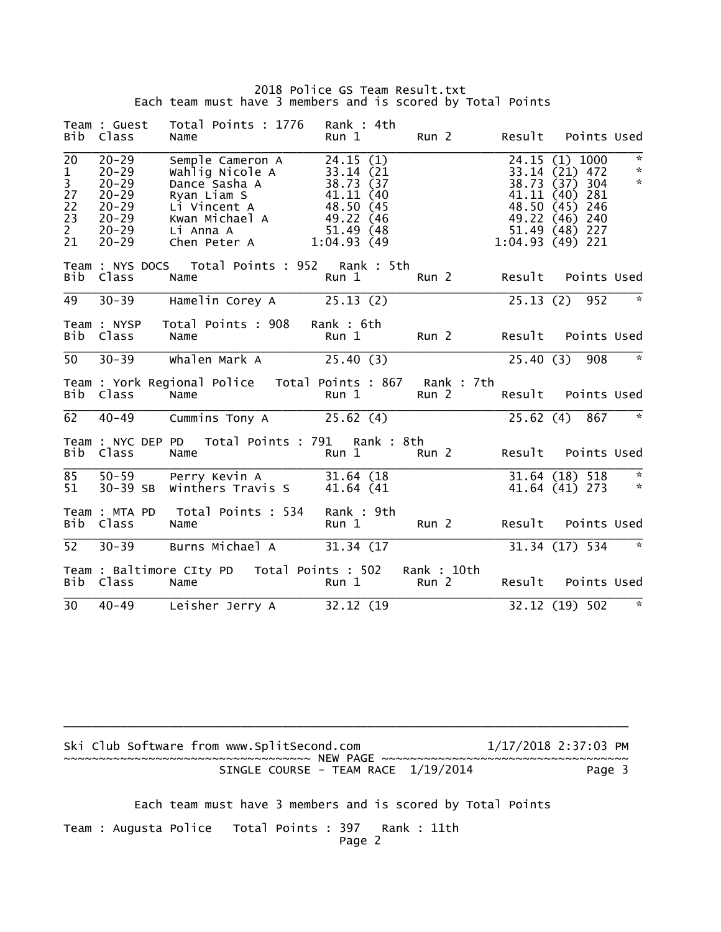## 2018 Police GS Team Result.txt Each team must have 3 members and is scored by Total Points

| Bib                                                                    | Team : Guest<br>Class                                                                                | Total Points : 1776<br>Name                                                                                                        | Rank : 4th<br>Run 1                                                                                    | Run 2                           |           | Result Points Used                                                                                                                   |                                    |
|------------------------------------------------------------------------|------------------------------------------------------------------------------------------------------|------------------------------------------------------------------------------------------------------------------------------------|--------------------------------------------------------------------------------------------------------|---------------------------------|-----------|--------------------------------------------------------------------------------------------------------------------------------------|------------------------------------|
| 20<br>$\frac{1}{3}$<br>$27$<br>$\overline{2}2$<br>$\frac{23}{2}$<br>21 | $20 - 29$<br>$20 - 29$<br>$20 - 29$<br>$20 - 29$<br>$20 - 29$<br>$20 - 29$<br>$20 - 29$<br>$20 - 29$ | Semple Cameron A<br>Wahlig Nicole A<br>Dance Sasha A<br>Ryan Liam S<br>Li Vincent A<br>Kwan Michael A<br>Li Anna A<br>Chen Peter A | 24.15(1)<br>33.14 (21<br>38.73 (37<br>41.11 (40<br>48.50 (45<br>49.22 (46<br>51.49 (48)<br>1:04.93(49) |                                 | 38.73(37) | 24.15 (1) 1000<br>33.14 (21) 472<br>304<br>41.11 (40) 281<br>48.50 (45) 246<br>49.22 (46) 240<br>51.49 (48) 227<br>$1:04.93(49)$ 221 | $\sim$<br>$\kappa$<br>$\mathbf{x}$ |
| Bib                                                                    | Class                                                                                                | Team : NYS DOCS  Total Points : 952  Rank : 5th<br>Name                                                                            | Run 1                                                                                                  | Run 2                           | Result    | Points Used                                                                                                                          |                                    |
| 49                                                                     | $30 - 39$                                                                                            | Hamelin Corey A 25.13 (2)                                                                                                          |                                                                                                        |                                 |           | 25.13 (2) 952                                                                                                                        | 一次。                                |
| Bib                                                                    | Team : NYSP<br>Class                                                                                 | Total Points : 908<br>Name                                                                                                         | Rank: 6th<br>Run 1                                                                                     | Run 2                           |           | Result Points Used                                                                                                                   |                                    |
| 50 <sup>7</sup>                                                        | $30 - 39$                                                                                            | $Whalen Mark A$ 25.40 (3)                                                                                                          |                                                                                                        |                                 | 25.40(3)  | 908                                                                                                                                  | $\overline{\phantom{a}}$           |
| Bib                                                                    | Class                                                                                                | Team : York Regional Police  Total Points : 867 Rank : 7th<br>Name                                                                 | Run 1                                                                                                  | Run 2                           | Result    | Points Used                                                                                                                          |                                    |
| 62                                                                     | $40 - 49$                                                                                            | Cummins Tony A                                                                                                                     | 25.62(4)                                                                                               |                                 |           | 25.62 (4) 867                                                                                                                        | 一次                                 |
| Bib                                                                    | Class                                                                                                | Team : NYC DEP PD  Total Points : 791  Rank : 8th<br>Name                                                                          | Run 1                                                                                                  | Run <sub>2</sub>                |           | Result Points Used                                                                                                                   |                                    |
| 85<br>51                                                               | $50 - 59$<br>$30 - 39$ SB                                                                            | Perry Kevin A 31.64 (18)<br>Winthers Travis S                                                                                      | 41.64 (41)                                                                                             |                                 |           | 31.64 (18) 518<br>41.64 (41) 273 *                                                                                                   | - *                                |
| Bib                                                                    | Team : MTA PD<br>Class                                                                               | Total Points : 534<br>Name                                                                                                         | Rank: 9th<br>Run 1                                                                                     | Run <sub>2</sub>                | Result    | Points Used                                                                                                                          |                                    |
| 52                                                                     | $30 - 39$                                                                                            | Burns Michael A 31.34 (17                                                                                                          |                                                                                                        |                                 |           | 31.34 (17) 534 *                                                                                                                     |                                    |
| Bib                                                                    | Class                                                                                                | Team : Baltimore CIty PD    Total Points : 502<br>Name                                                                             | Run 1                                                                                                  | Rank : 10th<br>Run <sub>2</sub> |           | Result Points Used                                                                                                                   |                                    |
| 30                                                                     | $40 - 49$                                                                                            | Leisher Jerry A 32.12 (19)                                                                                                         |                                                                                                        |                                 |           | 32.12 (19) 502                                                                                                                       | $\overline{\phantom{a}}$           |

Ski Club Software from www.SplitSecond.com  $1/17/2018$  2:37:03 PM ~~~~~~~~~~~~~~~~~~~~~~~~~~~~~~~~~~~ NEW PAGE ~~~~~~~~~~~~~~~~~~~~~~~~~~~~~~~~~~~ SINGLE COURSE - TEAM RACE  $1/19/2014$ 

\_\_\_\_\_\_\_\_\_\_\_\_\_\_\_\_\_\_\_\_\_\_\_\_\_\_\_\_\_\_\_\_\_\_\_\_\_\_\_\_\_\_\_\_\_\_\_\_\_\_\_\_\_\_\_\_\_\_\_\_\_\_\_\_\_\_\_\_\_\_\_\_\_\_\_\_\_\_\_\_

Each team must have 3 members and is scored by Total Points

Team : Augusta Police Total Points : 397 Rank : 11th Page 2